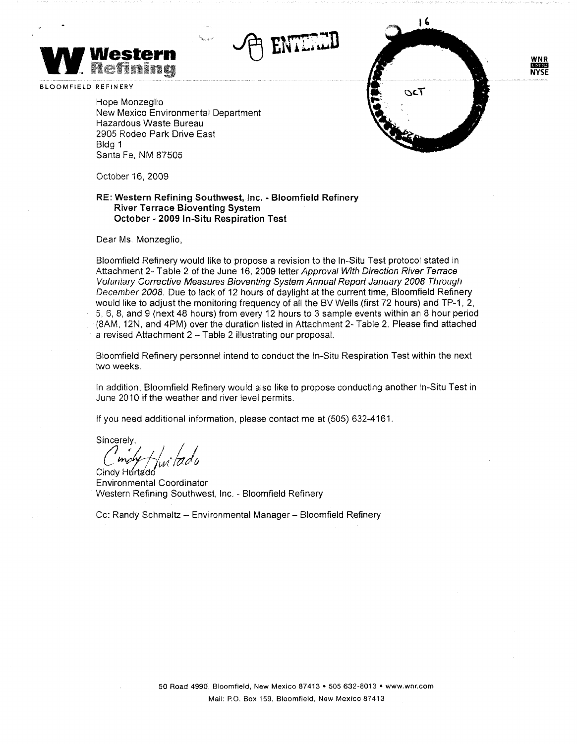



Hope Monzeglio New Mexico Environmental Department Hazardous Waste Bureau 2905 Rodeo Park Drive East Bldg 1 Santa Fe, NM 87505

October 16, 2009

## **RE: Western Refining Southwest, Inc. - Bloomfield Refinery River Terrace Bioventing System October - 2009 In-Situ Respiration Test**

Dear Ms. Monzeglio,

Bloomfield Refinery would like to propose a revision to the In-Situ Test protocol stated in Attachment 2- Table 2 of the June 16, 2009 letter Approval With Direction River Terrace Voluntary Corrective Measures Bioventing System Annual Report January 2008 Through December 2008. Due to lack of 12 hours of daylight at the current time, Bloomfield Refinery would like to adjust the monitoring frequency of all the BV Wells (first 72 hours) and TP-1, 2, 5, 6, 8, and 9 (next 48 hours) from every 12 hours to 3 sample events within an 8 hour period (8AM, 12N, and 4PM) over the duration listed in Attachment 2- Table 2. Please find attached a revised Attachment 2 - Table 2 illustrating our proposal.

**WNR mom NYSE** 

 $\sqrt{6}$ 

 $OCT$ 

Bloomfield Refinery personnel intend to conduct the In-Situ Respiration Test within the next two weeks.

In addition, Bloomfield Refinery would also like to propose conducting another In-Situ Test in June 2010 if the weather and river level permits.

If you need additional information, please contact me at (505) 632-4161.

Sincerely, C<sup>moly</sup> / witado

Cindy Hurtadd Environmental Coordinator Western Refining Southwest, Inc. - Bloomfield Refinery

Cc: Randy Schmaltz - Environmental Manager - Bloomfield Refinery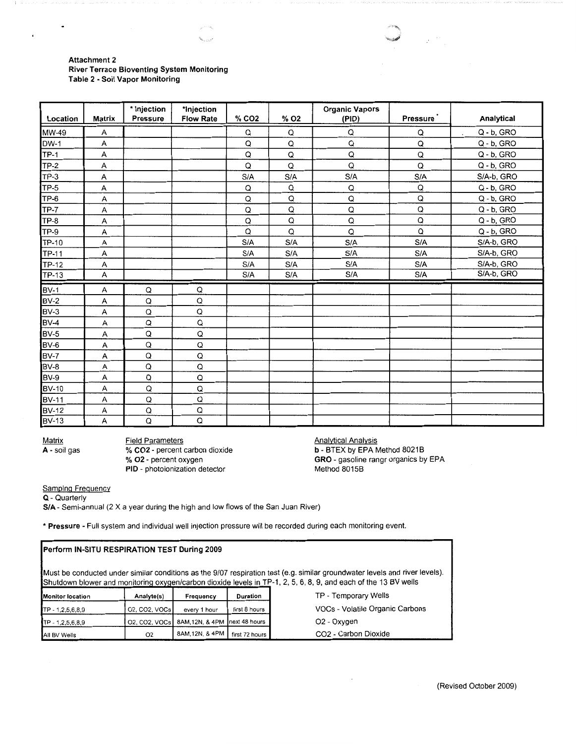## **Attachment 2 River Terrace Bioventing System Monitoring Table 2 - Soil Vapor Monitoring**

 $\mathcal{P}^{(11,2)}$ 

 $\mathbf{h}_{k_1,\ldots,k_r}$ 

| Location     | <b>Matrix</b> | * Injection<br><b>Pressure</b> | *Injection<br><b>Flow Rate</b> | % CO <sub>2</sub> | % O <sub>2</sub> | <b>Organic Vapors</b><br>(PID) | Pressure    | Analytical               |
|--------------|---------------|--------------------------------|--------------------------------|-------------------|------------------|--------------------------------|-------------|--------------------------|
| MW-49        | Α             |                                |                                | Q                 | Q                | Q                              | Q           | Q - b, GRO<br>$\epsilon$ |
| $DW-1$       | А             |                                |                                | Q                 | Q                | Q                              | Q           | Q - b, GRO               |
| $TP-1$       | А             |                                |                                | Q                 | Q                | Q                              | $\mathsf Q$ | $Q - b$ , GRO            |
| TP-2         | А             |                                |                                | Q                 | Q                | Q                              | Q           | $Q - b$ , GRO            |
| TP-3         | A             |                                |                                | S/A               | S/A              | S/A                            | S/A         | S/A-b, GRO               |
| TP-5         | А             |                                |                                | Q                 | Q                | Q                              | Q           | Q - b, GRO               |
| TP-6         | A             |                                |                                | Q                 | Q                | $\mathsf Q$                    | Q           | Q - b, GRO               |
| <b>TP-7</b>  | Α             |                                |                                | Q                 | Q                | Q                              | Q           | Q - b, GRO               |
| $TP-8$       | А             |                                |                                | $\mathsf Q$       | Q                | $\mathsf Q$                    | $\mathsf Q$ | Q - b, GRO               |
| <b>TP-9</b>  | Α             |                                |                                | Q                 | $\mathsf Q$      | Q                              | Q           | Q - b, GRO               |
| TP-10        | А             |                                |                                | S/A               | S/A              | S/A                            | S/A         | S/A-b, GRO               |
| <b>TP-11</b> | Α             |                                |                                | S/A               | S/A              | S/A                            | S/A         | S/A-b, GRO               |
| TP-12        | A             |                                |                                | S/A               | S/A              | S/A                            | S/A         | S/A-b, GRO               |
| <b>TP-13</b> | А             |                                |                                | S/A               | S/A              | S/A                            | S/A         | S/A-b, GRO               |
| <b>BV-1</b>  | Α             | Q                              | Q                              |                   |                  |                                |             |                          |
| BV-2         | А             | Q                              | Q                              |                   |                  |                                |             |                          |
| BV-3         | Α             | Q                              | Q                              |                   |                  |                                |             |                          |
| BV-4         | А             | Q                              | Q                              |                   |                  |                                |             |                          |
| BV-5         | Α             | Q                              | Q                              |                   |                  |                                |             |                          |
| BV-6         | Α             | Q                              | Q                              |                   |                  |                                |             |                          |
| BV-7         | А             | Q                              | Q                              |                   |                  |                                |             |                          |
| BV-8         | А             | $\mathsf Q$                    | Q                              |                   |                  |                                |             |                          |
| BV-9         | Α             | Q                              | Q                              |                   |                  |                                |             |                          |
| <b>BV-10</b> | Α             | $\mathsf Q$                    | Q                              |                   |                  |                                |             |                          |
| <b>BV-11</b> | Α             | Q                              | Q                              |                   |                  |                                |             |                          |
| <b>BV-12</b> | Α             | $\mathsf Q$                    | Q                              |                   |                  |                                |             |                          |
| <b>BV-13</b> | Α             | $\mathsf Q$                    | Q                              |                   |                  |                                |             |                          |

**A-** soil gas

 $\ddot{\phantom{0}}$ 

 $\cdot$ 

Matrix Field Parameters<br> **A** - soil gas <br> **Matrix CO2** - percent carbon dioxide % **02** - percent oxygen **PIO** - photoionization detector

Analytical Analysis **b** - BTEX by EPA Method 8021B **GRO** - gasoline rangr organics by EPA Method 80158

 $\overline{\phantom{a}}$ 

Samplng Frequency

**Q** - Quarterly

**S/A** - Semi-annual (2 X a year during the high and low flows of the San Juan River)

• **Pressure** - Full system and individual well injection pressure will be recorded during each monitoring event.

| Perform IN-SITU RESPIRATION TEST During 2009                                                                                                                                                                                                    |               |                |                |                                  |  |  |  |  |
|-------------------------------------------------------------------------------------------------------------------------------------------------------------------------------------------------------------------------------------------------|---------------|----------------|----------------|----------------------------------|--|--|--|--|
| (Must be conducted under similar conditions as the 9/07 respiration test (e.g. similar groundwater levels and river levels).<br>Shutdown blower and monitoring oxygen/carbon dioxide levels in TP-1, 2, 5, 6, 8, 9, and each of the 13 BV wells |               |                |                |                                  |  |  |  |  |
| <b>Monitor location</b>                                                                                                                                                                                                                         | Analyte(s)    | Frequency      | Duration       | TP - Temporary Wells             |  |  |  |  |
| TP - 1,2,5,6,8,9                                                                                                                                                                                                                                | 02, CO2, VOCs | every 1 hour   | first 8 hours  | VOCs - Volatile Organic Carbons  |  |  |  |  |
| $TP - 1, 2, 5, 6, 8, 9$                                                                                                                                                                                                                         | 02, CO2, VOCs | 8AM.12N, & 4PM | next 48 hours  | O <sub>2</sub> - Oxygen          |  |  |  |  |
| All BV Wells                                                                                                                                                                                                                                    | 02            | 8AM.12N. & 4PM | first 72 hours | CO <sub>2</sub> - Carbon Dioxide |  |  |  |  |